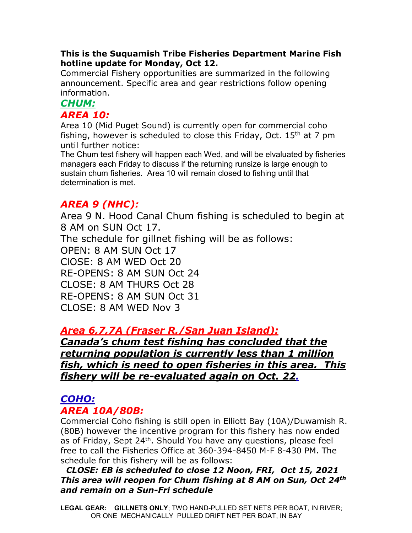## **This is the Suquamish Tribe Fisheries Department Marine Fish hotline update for Monday, Oct 12.**

Commercial Fishery opportunities are summarized in the following announcement. Specific area and gear restrictions follow opening information.

## *CHUM: AREA 10:*

Area 10 (Mid Puget Sound) is currently open for commercial coho fishing, however is scheduled to close this Friday, Oct.  $15<sup>th</sup>$  at 7 pm until further notice:

The Chum test fishery will happen each Wed, and will be elvaluated by fisheries managers each Friday to discuss if the returning runsize is large enough to sustain chum fisheries. Area 10 will remain closed to fishing until that determination is met.

# *AREA 9 (NHC):*

Area 9 N. Hood Canal Chum fishing is scheduled to begin at 8 AM on SUN Oct 17.

The schedule for gillnet fishing will be as follows:

OPEN: 8 AM SUN Oct 17 ClOSE: 8 AM WED Oct 20 RE-OPENS: 8 AM SUN Oct 24 CLOSE: 8 AM THURS Oct 28 RE-OPENS: 8 AM SUN Oct 31 CLOSE: 8 AM WED Nov 3

# *Area 6,7,7A (Fraser R./San Juan Island):*

*Canada's chum test fishing has concluded that the returning population is currently less than 1 million fish, which is need to open fisheries in this area. This fishery will be re-evaluated again on Oct. 22.*

# *COHO: AREA 10A/80B:*

Commercial Coho fishing is still open in Elliott Bay (10A)/Duwamish R. (80B) however the incentive program for this fishery has now ended as of Friday, Sept 24<sup>th</sup>. Should You have any questions, please feel free to call the Fisheries Office at 360-394-8450 M-F 8-430 PM. The schedule for this fishery will be as follows:

## *CLOSE: EB is scheduled to close 12 Noon, FRI, Oct 15, 2021 This area will reopen for Chum fishing at 8 AM on Sun, Oct 24th and remain on a Sun-Fri schedule*

**LEGAL GEAR: GILLNETS ONLY**; TWO HAND-PULLED SET NETS PER BOAT, IN RIVER; OR ONE MECHANICALLY PULLED DRIFT NET PER BOAT, IN BAY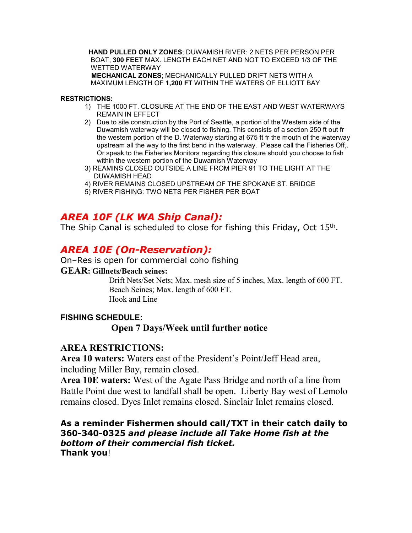**HAND PULLED ONLY ZONES**; DUWAMISH RIVER: 2 NETS PER PERSON PER BOAT, **300 FEET** MAX. LENGTH EACH NET AND NOT TO EXCEED 1/3 OF THE WETTED WATERWAY **MECHANICAL ZONES**; MECHANICALLY PULLED DRIFT NETS WITH A

MAXIMUM LENGTH OF **1,200 FT** WITHIN THE WATERS OF ELLIOTT BAY

#### **RESTRICTIONS:**

- 1) THE 1000 FT. CLOSURE AT THE END OF THE EAST AND WEST WATERWAYS REMAIN IN EFFECT
- 2) Due to site construction by the Port of Seattle, a portion of the Western side of the Duwamish waterway will be closed to fishing. This consists of a section 250 ft out fr the western portion of the D. Waterway starting at 675 ft fr the mouth of the waterway upstream all the way to the first bend in the waterway. Please call the Fisheries Off,. Or speak to the Fisheries Monitors regarding this closure should you choose to fish within the western portion of the Duwamish Waterway
- 3) REAMINS CLOSED OUTSIDE A LINE FROM PIER 91 TO THE LIGHT AT THE DUWAMISH HEAD
- 4) RIVER REMAINS CLOSED UPSTREAM OF THE SPOKANE ST. BRIDGE
- 5) RIVER FISHING: TWO NETS PER FISHER PER BOAT

## *AREA 10F (LK WA Ship Canal):*

The Ship Canal is scheduled to close for fishing this Friday, Oct 15<sup>th</sup>.

## *AREA 10E (On-Reservation):*

#### On–Res is open for commercial coho fishing

#### **GEAR: Gillnets/Beach seines:**

Drift Nets/Set Nets; Max. mesh size of 5 inches, Max. length of 600 FT. Beach Seines; Max. length of 600 FT. Hook and Line

## **FISHING SCHEDULE:**

### **Open 7 Days/Week until further notice**

### **AREA RESTRICTIONS:**

**Area 10 waters:** Waters east of the President's Point/Jeff Head area, including Miller Bay, remain closed.

**Area 10E waters:** West of the Agate Pass Bridge and north of a line from Battle Point due west to landfall shall be open. Liberty Bay west of Lemolo remains closed. Dyes Inlet remains closed. Sinclair Inlet remains closed.

### **As a reminder Fishermen should call/TXT in their catch daily to 360-340-0325** *and please include all Take Home fish at the bottom of their commercial fish ticket.*  **Thank you**!